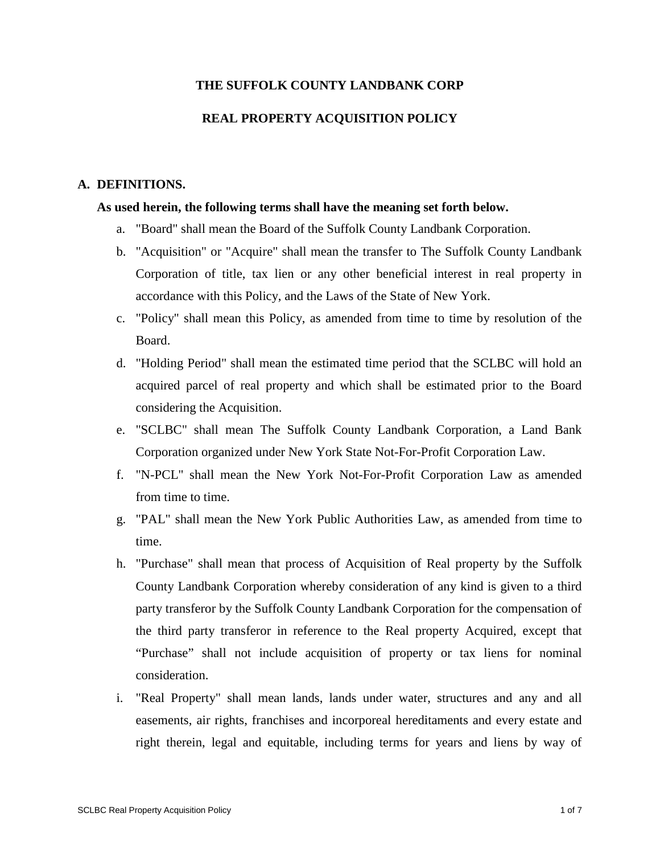## **THE SUFFOLK COUNTY LANDBANK CORP**

# **REAL PROPERTY ACQUISITION POLICY**

#### **A. DEFINITIONS.**

## **As used herein, the following terms shall have the meaning set forth below.**

- a. "Board" shall mean the Board of the Suffolk County Landbank Corporation.
- b. "Acquisition" or "Acquire" shall mean the transfer to The Suffolk County Landbank Corporation of title, tax lien or any other beneficial interest in real property in accordance with this Policy, and the Laws of the State of New York.
- c. "Policy" shall mean this Policy, as amended from time to time by resolution of the Board.
- d. "Holding Period" shall mean the estimated time period that the SCLBC will hold an acquired parcel of real property and which shall be estimated prior to the Board considering the Acquisition.
- e. "SCLBC" shall mean The Suffolk County Landbank Corporation, a Land Bank Corporation organized under New York State Not-For-Profit Corporation Law.
- f. "N-PCL" shall mean the New York Not-For-Profit Corporation Law as amended from time to time.
- g. "PAL" shall mean the New York Public Authorities Law, as amended from time to time.
- h. "Purchase" shall mean that process of Acquisition of Real property by the Suffolk County Landbank Corporation whereby consideration of any kind is given to a third party transferor by the Suffolk County Landbank Corporation for the compensation of the third party transferor in reference to the Real property Acquired, except that "Purchase" shall not include acquisition of property or tax liens for nominal consideration.
- i. "Real Property" shall mean lands, lands under water, structures and any and all easements, air rights, franchises and incorporeal hereditaments and every estate and right therein, legal and equitable, including terms for years and liens by way of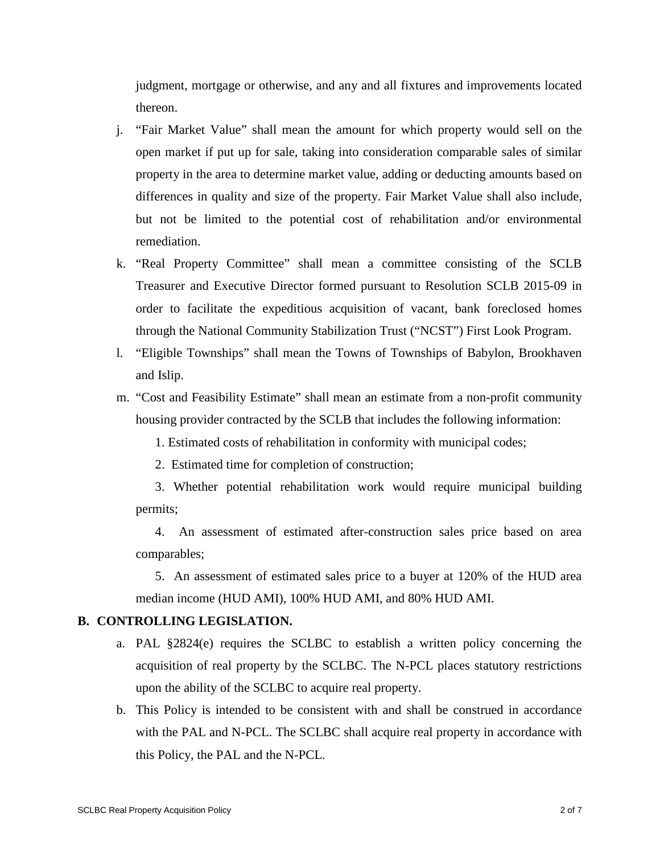judgment, mortgage or otherwise, and any and all fixtures and improvements located thereon.

- j. "Fair Market Value" shall mean the amount for which property would sell on the open market if put up for sale, taking into consideration comparable sales of similar property in the area to determine market value, adding or deducting amounts based on differences in quality and size of the property. Fair Market Value shall also include, but not be limited to the potential cost of rehabilitation and/or environmental remediation.
- k. "Real Property Committee" shall mean a committee consisting of the SCLB Treasurer and Executive Director formed pursuant to Resolution SCLB 2015-09 in order to facilitate the expeditious acquisition of vacant, bank foreclosed homes through the National Community Stabilization Trust ("NCST") First Look Program.
- l. "Eligible Townships" shall mean the Towns of Townships of Babylon, Brookhaven and Islip.
- m. "Cost and Feasibility Estimate" shall mean an estimate from a non-profit community housing provider contracted by the SCLB that includes the following information:

1. Estimated costs of rehabilitation in conformity with municipal codes;

2. Estimated time for completion of construction;

3. Whether potential rehabilitation work would require municipal building permits;

4. An assessment of estimated after-construction sales price based on area comparables;

5. An assessment of estimated sales price to a buyer at 120% of the HUD area median income (HUD AMI), 100% HUD AMI, and 80% HUD AMI.

## **B. CONTROLLING LEGISLATION.**

- a. PAL §2824(e) requires the SCLBC to establish a written policy concerning the acquisition of real property by the SCLBC. The N-PCL places statutory restrictions upon the ability of the SCLBC to acquire real property.
- b. This Policy is intended to be consistent with and shall be construed in accordance with the PAL and N-PCL. The SCLBC shall acquire real property in accordance with this Policy, the PAL and the N-PCL.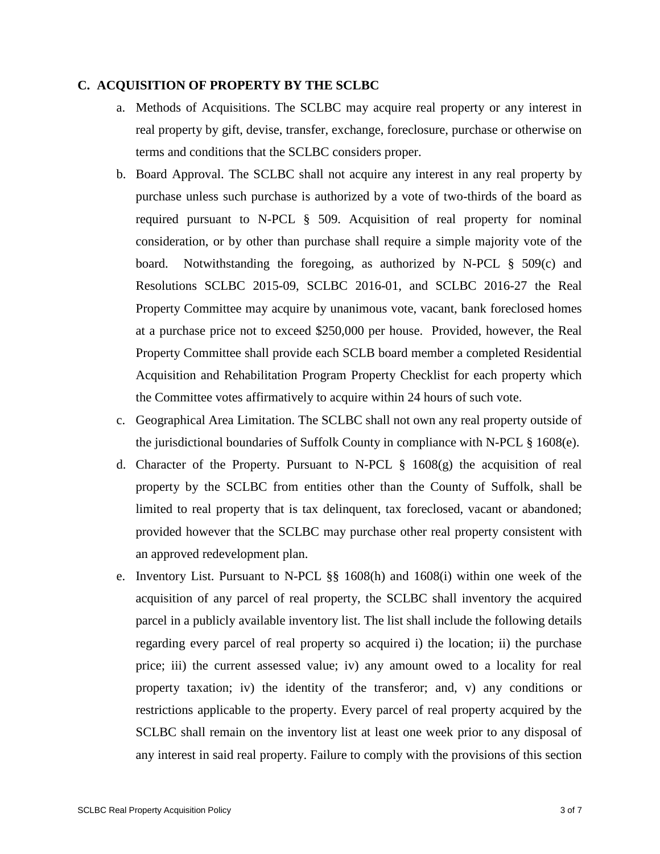## **C. ACQUISITION OF PROPERTY BY THE SCLBC**

- a. Methods of Acquisitions. The SCLBC may acquire real property or any interest in real property by gift, devise, transfer, exchange, foreclosure, purchase or otherwise on terms and conditions that the SCLBC considers proper.
- b. Board Approval. The SCLBC shall not acquire any interest in any real property by purchase unless such purchase is authorized by a vote of two-thirds of the board as required pursuant to N-PCL § 509. Acquisition of real property for nominal consideration, or by other than purchase shall require a simple majority vote of the board. Notwithstanding the foregoing, as authorized by N-PCL § 509(c) and Resolutions SCLBC 2015-09, SCLBC 2016-01, and SCLBC 2016-27 the Real Property Committee may acquire by unanimous vote, vacant, bank foreclosed homes at a purchase price not to exceed \$250,000 per house. Provided, however, the Real Property Committee shall provide each SCLB board member a completed Residential Acquisition and Rehabilitation Program Property Checklist for each property which the Committee votes affirmatively to acquire within 24 hours of such vote.
- c. Geographical Area Limitation. The SCLBC shall not own any real property outside of the jurisdictional boundaries of Suffolk County in compliance with N-PCL § 1608(e).
- d. Character of the Property. Pursuant to N-PCL  $\S$  1608(g) the acquisition of real property by the SCLBC from entities other than the County of Suffolk, shall be limited to real property that is tax delinquent, tax foreclosed, vacant or abandoned; provided however that the SCLBC may purchase other real property consistent with an approved redevelopment plan.
- e. Inventory List. Pursuant to N-PCL §§ 1608(h) and 1608(i) within one week of the acquisition of any parcel of real property, the SCLBC shall inventory the acquired parcel in a publicly available inventory list. The list shall include the following details regarding every parcel of real property so acquired i) the location; ii) the purchase price; iii) the current assessed value; iv) any amount owed to a locality for real property taxation; iv) the identity of the transferor; and, v) any conditions or restrictions applicable to the property. Every parcel of real property acquired by the SCLBC shall remain on the inventory list at least one week prior to any disposal of any interest in said real property. Failure to comply with the provisions of this section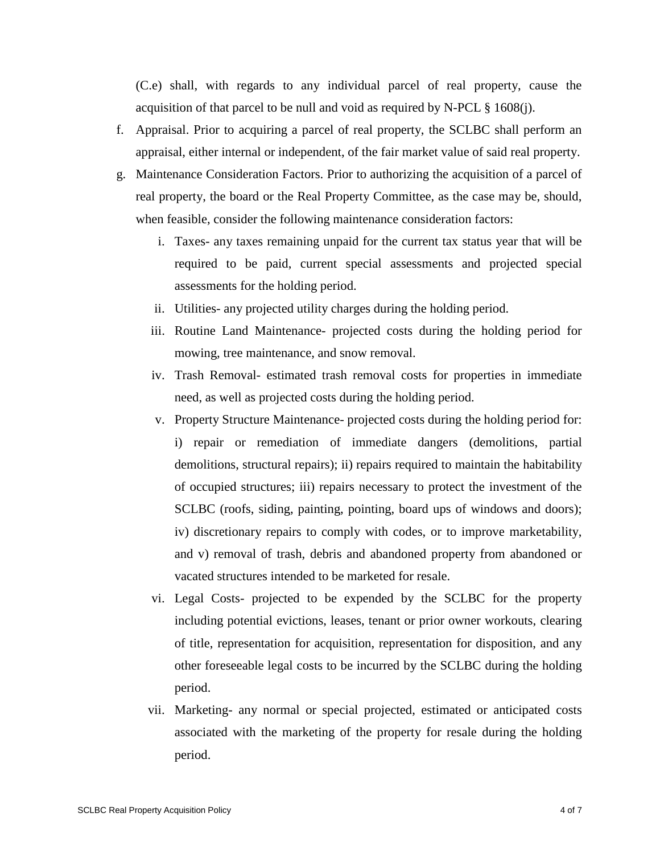(C.e) shall, with regards to any individual parcel of real property, cause the acquisition of that parcel to be null and void as required by N-PCL  $\S$  1608(j).

- f. Appraisal. Prior to acquiring a parcel of real property, the SCLBC shall perform an appraisal, either internal or independent, of the fair market value of said real property.
- g. Maintenance Consideration Factors. Prior to authorizing the acquisition of a parcel of real property, the board or the Real Property Committee, as the case may be, should, when feasible, consider the following maintenance consideration factors:
	- i. Taxes- any taxes remaining unpaid for the current tax status year that will be required to be paid, current special assessments and projected special assessments for the holding period.
	- ii. Utilities- any projected utility charges during the holding period.
	- iii. Routine Land Maintenance- projected costs during the holding period for mowing, tree maintenance, and snow removal.
	- iv. Trash Removal- estimated trash removal costs for properties in immediate need, as well as projected costs during the holding period.
	- v. Property Structure Maintenance- projected costs during the holding period for: i) repair or remediation of immediate dangers (demolitions, partial demolitions, structural repairs); ii) repairs required to maintain the habitability of occupied structures; iii) repairs necessary to protect the investment of the SCLBC (roofs, siding, painting, pointing, board ups of windows and doors); iv) discretionary repairs to comply with codes, or to improve marketability, and v) removal of trash, debris and abandoned property from abandoned or vacated structures intended to be marketed for resale.
	- vi. Legal Costs- projected to be expended by the SCLBC for the property including potential evictions, leases, tenant or prior owner workouts, clearing of title, representation for acquisition, representation for disposition, and any other foreseeable legal costs to be incurred by the SCLBC during the holding period.
	- vii. Marketing- any normal or special projected, estimated or anticipated costs associated with the marketing of the property for resale during the holding period.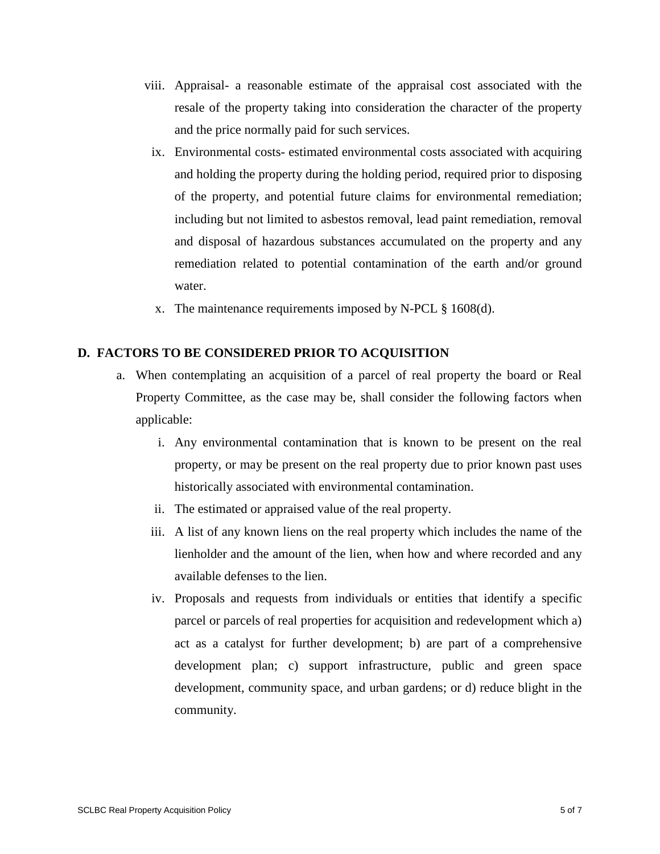- viii. Appraisal- a reasonable estimate of the appraisal cost associated with the resale of the property taking into consideration the character of the property and the price normally paid for such services.
	- ix. Environmental costs- estimated environmental costs associated with acquiring and holding the property during the holding period, required prior to disposing of the property, and potential future claims for environmental remediation; including but not limited to asbestos removal, lead paint remediation, removal and disposal of hazardous substances accumulated on the property and any remediation related to potential contamination of the earth and/or ground water.
	- x. The maintenance requirements imposed by N-PCL § 1608(d).

# **D. FACTORS TO BE CONSIDERED PRIOR TO ACQUISITION**

- a. When contemplating an acquisition of a parcel of real property the board or Real Property Committee, as the case may be, shall consider the following factors when applicable:
	- i. Any environmental contamination that is known to be present on the real property, or may be present on the real property due to prior known past uses historically associated with environmental contamination.
	- ii. The estimated or appraised value of the real property.
	- iii. A list of any known liens on the real property which includes the name of the lienholder and the amount of the lien, when how and where recorded and any available defenses to the lien.
	- iv. Proposals and requests from individuals or entities that identify a specific parcel or parcels of real properties for acquisition and redevelopment which a) act as a catalyst for further development; b) are part of a comprehensive development plan; c) support infrastructure, public and green space development, community space, and urban gardens; or d) reduce blight in the community.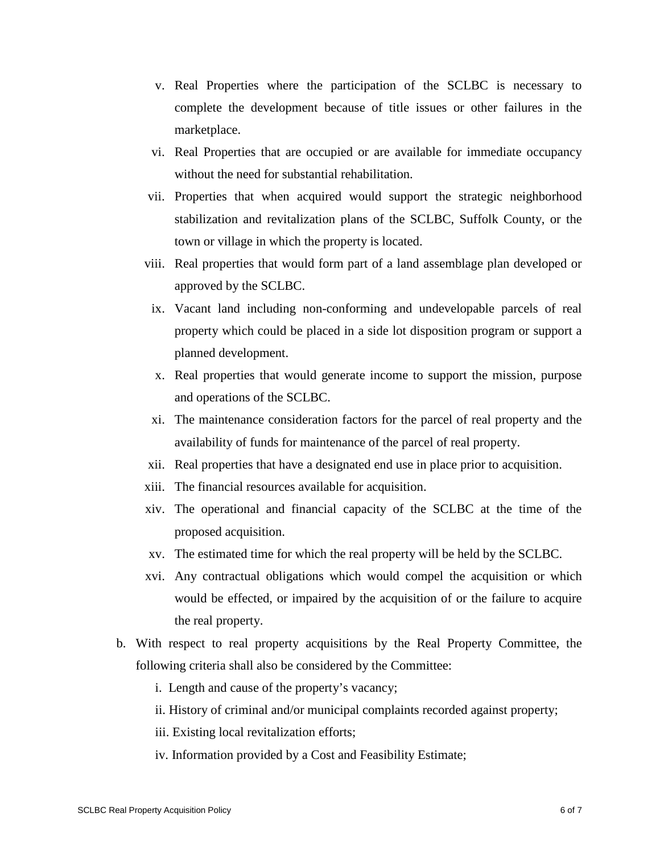- v. Real Properties where the participation of the SCLBC is necessary to complete the development because of title issues or other failures in the marketplace.
- vi. Real Properties that are occupied or are available for immediate occupancy without the need for substantial rehabilitation.
- vii. Properties that when acquired would support the strategic neighborhood stabilization and revitalization plans of the SCLBC, Suffolk County, or the town or village in which the property is located.
- viii. Real properties that would form part of a land assemblage plan developed or approved by the SCLBC.
- ix. Vacant land including non-conforming and undevelopable parcels of real property which could be placed in a side lot disposition program or support a planned development.
- x. Real properties that would generate income to support the mission, purpose and operations of the SCLBC.
- xi. The maintenance consideration factors for the parcel of real property and the availability of funds for maintenance of the parcel of real property.
- xii. Real properties that have a designated end use in place prior to acquisition.
- xiii. The financial resources available for acquisition.
- xiv. The operational and financial capacity of the SCLBC at the time of the proposed acquisition.
- xv. The estimated time for which the real property will be held by the SCLBC.
- xvi. Any contractual obligations which would compel the acquisition or which would be effected, or impaired by the acquisition of or the failure to acquire the real property.
- b. With respect to real property acquisitions by the Real Property Committee, the following criteria shall also be considered by the Committee:
	- i. Length and cause of the property's vacancy;
	- ii. History of criminal and/or municipal complaints recorded against property;
	- iii. Existing local revitalization efforts;
	- iv. Information provided by a Cost and Feasibility Estimate;